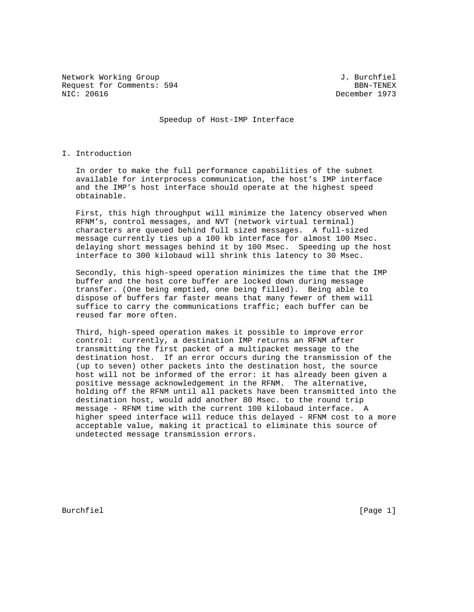Network Working Group 3. The Section of the Method of Burchfiel Request for Comments: 594 BBN-TENEX<br>NIC: 20616 BBN-TENEX

December 1973

Speedup of Host-IMP Interface

## I. Introduction

 In order to make the full performance capabilities of the subnet available for interprocess communication, the host's IMP interface and the IMP's host interface should operate at the highest speed obtainable.

 First, this high throughput will minimize the latency observed when RFNM's, control messages, and NVT (network virtual terminal) characters are queued behind full sized messages. A full-sized message currently ties up a 100 kb interface for almost 100 Msec. delaying short messages behind it by 100 Msec. Speeding up the host interface to 300 kilobaud will shrink this latency to 30 Msec.

 Secondly, this high-speed operation minimizes the time that the IMP buffer and the host core buffer are locked down during message transfer. (One being emptied, one being filled). Being able to dispose of buffers far faster means that many fewer of them will suffice to carry the communications traffic; each buffer can be reused far more often.

 Third, high-speed operation makes it possible to improve error control: currently, a destination IMP returns an RFNM after transmitting the first packet of a multipacket message to the destination host. If an error occurs during the transmission of the (up to seven) other packets into the destination host, the source host will not be informed of the error: it has already been given a positive message acknowledgement in the RFNM. The alternative, holding off the RFNM until all packets have been transmitted into the destination host, would add another 80 Msec. to the round trip message - RFNM time with the current 100 kilobaud interface. A higher speed interface will reduce this delayed - RFNM cost to a more acceptable value, making it practical to eliminate this source of undetected message transmission errors.

Burchfiel [Page 1]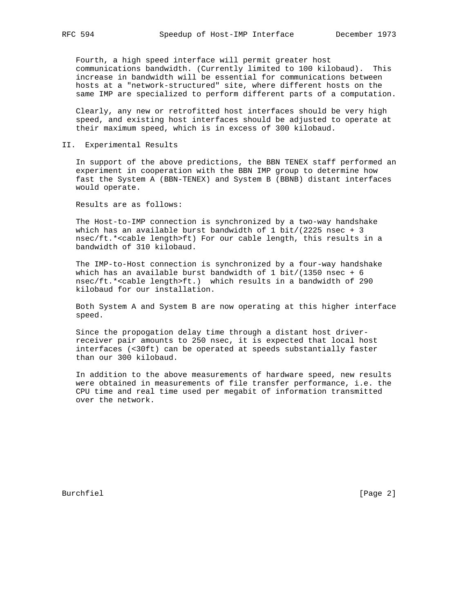Fourth, a high speed interface will permit greater host communications bandwidth. (Currently limited to 100 kilobaud). This increase in bandwidth will be essential for communications between hosts at a "network-structured" site, where different hosts on the same IMP are specialized to perform different parts of a computation.

 Clearly, any new or retrofitted host interfaces should be very high speed, and existing host interfaces should be adjusted to operate at their maximum speed, which is in excess of 300 kilobaud.

## II. Experimental Results

 In support of the above predictions, the BBN TENEX staff performed an experiment in cooperation with the BBN IMP group to determine how fast the System A (BBN-TENEX) and System B (BBNB) distant interfaces would operate.

Results are as follows:

 The Host-to-IMP connection is synchronized by a two-way handshake which has an available burst bandwidth of  $1$  bit/(2225 nsec + 3 nsec/ft.\*<cable length>ft) For our cable length, this results in a bandwidth of 310 kilobaud.

 The IMP-to-Host connection is synchronized by a four-way handshake which has an available burst bandwidth of 1 bit/(1350 nsec + 6 nsec/ft.\*<cable length>ft.) which results in a bandwidth of 290 kilobaud for our installation.

 Both System A and System B are now operating at this higher interface speed.

 Since the propogation delay time through a distant host driver receiver pair amounts to 250 nsec, it is expected that local host interfaces (<30ft) can be operated at speeds substantially faster than our 300 kilobaud.

 In addition to the above measurements of hardware speed, new results were obtained in measurements of file transfer performance, i.e. the CPU time and real time used per megabit of information transmitted over the network.

Burchfiel [Page 2]